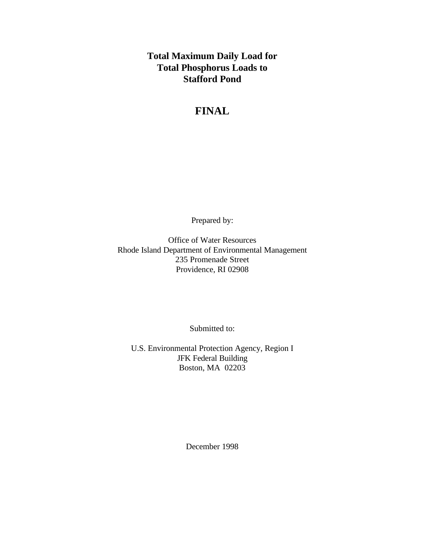**Total Maximum Daily Load for Total Phosphorus Loads to Stafford Pond**

# **FINAL**

Prepared by:

Office of Water Resources Rhode Island Department of Environmental Management 235 Promenade Street Providence, RI 02908

Submitted to:

U.S. Environmental Protection Agency, Region I JFK Federal Building Boston, MA 02203

December 1998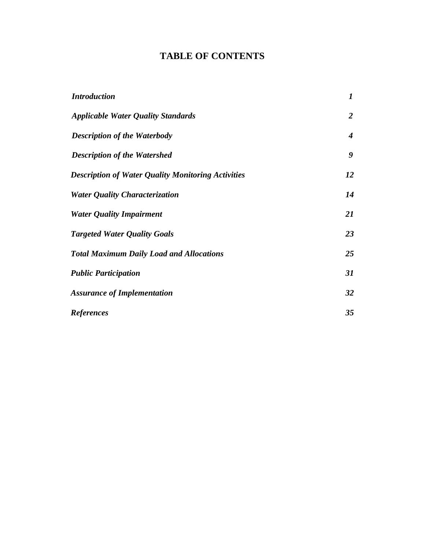# **TABLE OF CONTENTS**

| <b>Introduction</b>                                       | $\boldsymbol{l}$ |
|-----------------------------------------------------------|------------------|
| <b>Applicable Water Quality Standards</b>                 | $\overline{2}$   |
| <b>Description of the Waterbody</b>                       | 4                |
| <b>Description of the Watershed</b>                       | 9                |
| <b>Description of Water Quality Monitoring Activities</b> | 12               |
| <b>Water Quality Characterization</b>                     | 14               |
| <b>Water Quality Impairment</b>                           | 21               |
| <b>Targeted Water Quality Goals</b>                       | 23               |
| <b>Total Maximum Daily Load and Allocations</b>           | 25               |
| <b>Public Participation</b>                               | 31               |
| <b>Assurance of Implementation</b>                        | 32               |
| <b>References</b>                                         | 35               |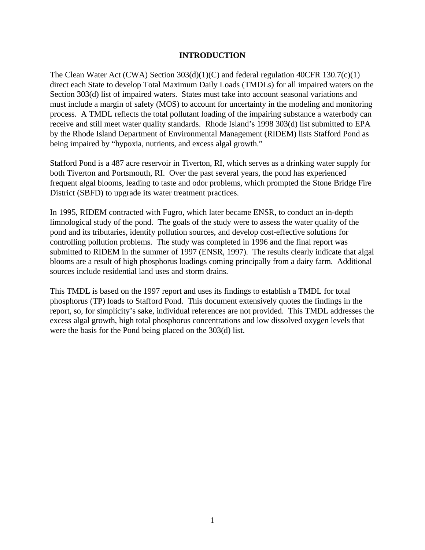### **INTRODUCTION**

The Clean Water Act (CWA) Section  $303(d)(1)(C)$  and federal regulation 40CFR 130.7(c)(1) direct each State to develop Total Maximum Daily Loads (TMDLs) for all impaired waters on the Section 303(d) list of impaired waters. States must take into account seasonal variations and must include a margin of safety (MOS) to account for uncertainty in the modeling and monitoring process. A TMDL reflects the total pollutant loading of the impairing substance a waterbody can receive and still meet water quality standards. Rhode Island's 1998 303(d) list submitted to EPA by the Rhode Island Department of Environmental Management (RIDEM) lists Stafford Pond as being impaired by "hypoxia, nutrients, and excess algal growth."

Stafford Pond is a 487 acre reservoir in Tiverton, RI, which serves as a drinking water supply for both Tiverton and Portsmouth, RI. Over the past several years, the pond has experienced frequent algal blooms, leading to taste and odor problems, which prompted the Stone Bridge Fire District (SBFD) to upgrade its water treatment practices.

In 1995, RIDEM contracted with Fugro, which later became ENSR, to conduct an in-depth limnological study of the pond. The goals of the study were to assess the water quality of the pond and its tributaries, identify pollution sources, and develop cost-effective solutions for controlling pollution problems. The study was completed in 1996 and the final report was submitted to RIDEM in the summer of 1997 (ENSR, 1997). The results clearly indicate that algal blooms are a result of high phosphorus loadings coming principally from a dairy farm. Additional sources include residential land uses and storm drains.

This TMDL is based on the 1997 report and uses its findings to establish a TMDL for total phosphorus (TP) loads to Stafford Pond. This document extensively quotes the findings in the report, so, for simplicity's sake, individual references are not provided. This TMDL addresses the excess algal growth, high total phosphorus concentrations and low dissolved oxygen levels that were the basis for the Pond being placed on the 303(d) list.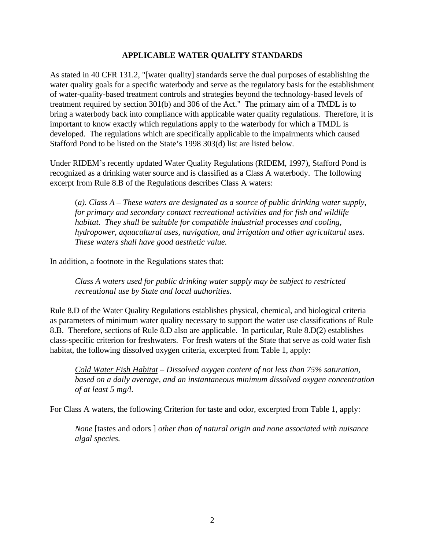## **APPLICABLE WATER QUALITY STANDARDS**

As stated in 40 CFR 131.2, "[water quality] standards serve the dual purposes of establishing the water quality goals for a specific waterbody and serve as the regulatory basis for the establishment of water-quality-based treatment controls and strategies beyond the technology-based levels of treatment required by section 301(b) and 306 of the Act." The primary aim of a TMDL is to bring a waterbody back into compliance with applicable water quality regulations. Therefore, it is important to know exactly which regulations apply to the waterbody for which a TMDL is developed. The regulations which are specifically applicable to the impairments which caused Stafford Pond to be listed on the State's 1998 303(d) list are listed below.

Under RIDEM's recently updated Water Quality Regulations (RIDEM, 1997), Stafford Pond is recognized as a drinking water source and is classified as a Class A waterbody. The following excerpt from Rule 8.B of the Regulations describes Class A waters:

(*a). Class A – These waters are designated as a source of public drinking water supply, for primary and secondary contact recreational activities and for fish and wildlife habitat. They shall be suitable for compatible industrial processes and cooling, hydropower, aquacultural uses, navigation, and irrigation and other agricultural uses. These waters shall have good aesthetic value.*

In addition, a footnote in the Regulations states that:

*Class A waters used for public drinking water supply may be subject to restricted recreational use by State and local authorities.*

Rule 8.D of the Water Quality Regulations establishes physical, chemical, and biological criteria as parameters of minimum water quality necessary to support the water use classifications of Rule 8.B. Therefore, sections of Rule 8.D also are applicable. In particular, Rule 8.D(2) establishes class-specific criterion for freshwaters. For fresh waters of the State that serve as cold water fish habitat, the following dissolved oxygen criteria, excerpted from Table 1, apply:

*Cold Water Fish Habitat – Dissolved oxygen content of not less than 75% saturation, based on a daily average, and an instantaneous minimum dissolved oxygen concentration of at least 5 mg/l.*

For Class A waters, the following Criterion for taste and odor, excerpted from Table 1, apply:

*None* [tastes and odors ] *other than of natural origin and none associated with nuisance algal species.*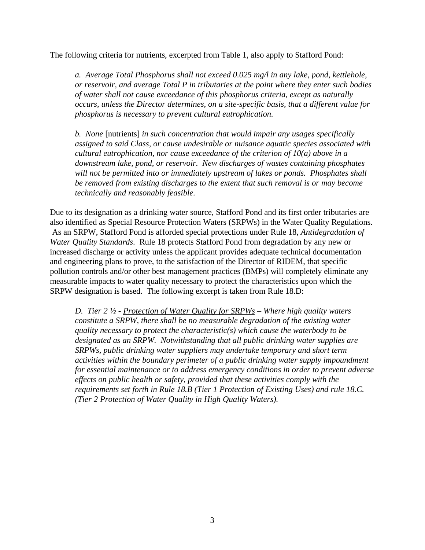The following criteria for nutrients, excerpted from Table 1, also apply to Stafford Pond:

*a. Average Total Phosphorus shall not exceed 0.025 mg/l in any lake, pond, kettlehole, or reservoir, and average Total P in tributaries at the point where they enter such bodies of water shall not cause exceedance of this phosphorus criteria, except as naturally occurs, unless the Director determines, on a site-specific basis, that a different value for phosphorus is necessary to prevent cultural eutrophication.*

*b. None* [nutrients] *in such concentration that would impair any usages specifically assigned to said Class, or cause undesirable or nuisance aquatic species associated with cultural eutrophication, nor cause exceedance of the criterion of 10(a) above in a downstream lake, pond, or reservoir. New discharges of wastes containing phosphates will not be permitted into or immediately upstream of lakes or ponds. Phosphates shall be removed from existing discharges to the extent that such removal is or may become technically and reasonably feasible.*

Due to its designation as a drinking water source, Stafford Pond and its first order tributaries are also identified as Special Resource Protection Waters (SRPWs) in the Water Quality Regulations. As an SRPW, Stafford Pond is afforded special protections under Rule 18, *Antidegradation of Water Quality Standards*. Rule 18 protects Stafford Pond from degradation by any new or increased discharge or activity unless the applicant provides adequate technical documentation and engineering plans to prove, to the satisfaction of the Director of RIDEM, that specific pollution controls and/or other best management practices (BMPs) will completely eliminate any measurable impacts to water quality necessary to protect the characteristics upon which the SRPW designation is based. The following excerpt is taken from Rule 18.D:

*D. Tier 2 ½ - Protection of Water Quality for SRPWs – Where high quality waters constitute a SRPW, there shall be no measurable degradation of the existing water quality necessary to protect the characteristic(s) which cause the waterbody to be designated as an SRPW. Notwithstanding that all public drinking water supplies are SRPWs, public drinking water suppliers may undertake temporary and short term activities within the boundary perimeter of a public drinking water supply impoundment for essential maintenance or to address emergency conditions in order to prevent adverse effects on public health or safety, provided that these activities comply with the requirements set forth in Rule 18.B (Tier 1 Protection of Existing Uses) and rule 18.C. (Tier 2 Protection of Water Quality in High Quality Waters).*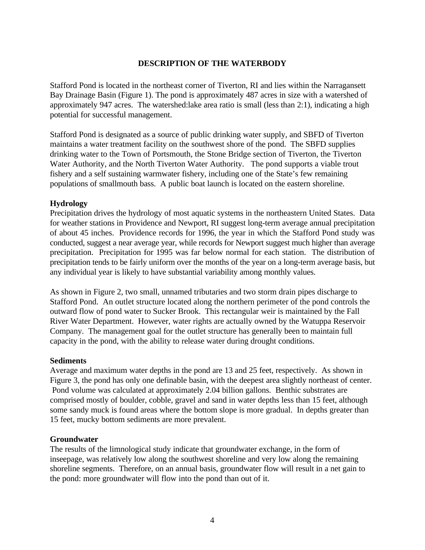# **DESCRIPTION OF THE WATERBODY**

Stafford Pond is located in the northeast corner of Tiverton, RI and lies within the Narragansett Bay Drainage Basin (Figure 1). The pond is approximately 487 acres in size with a watershed of approximately 947 acres. The watershed:lake area ratio is small (less than 2:1), indicating a high potential for successful management.

Stafford Pond is designated as a source of public drinking water supply, and SBFD of Tiverton maintains a water treatment facility on the southwest shore of the pond. The SBFD supplies drinking water to the Town of Portsmouth, the Stone Bridge section of Tiverton, the Tiverton Water Authority, and the North Tiverton Water Authority. The pond supports a viable trout fishery and a self sustaining warmwater fishery, including one of the State's few remaining populations of smallmouth bass. A public boat launch is located on the eastern shoreline.

## **Hydrology**

Precipitation drives the hydrology of most aquatic systems in the northeastern United States. Data for weather stations in Providence and Newport, RI suggest long-term average annual precipitation of about 45 inches. Providence records for 1996, the year in which the Stafford Pond study was conducted, suggest a near average year, while records for Newport suggest much higher than average precipitation. Precipitation for 1995 was far below normal for each station. The distribution of precipitation tends to be fairly uniform over the months of the year on a long-term average basis, but any individual year is likely to have substantial variability among monthly values.

As shown in Figure 2, two small, unnamed tributaries and two storm drain pipes discharge to Stafford Pond. An outlet structure located along the northern perimeter of the pond controls the outward flow of pond water to Sucker Brook. This rectangular weir is maintained by the Fall River Water Department. However, water rights are actually owned by the Watuppa Reservoir Company. The management goal for the outlet structure has generally been to maintain full capacity in the pond, with the ability to release water during drought conditions.

#### **Sediments**

Average and maximum water depths in the pond are 13 and 25 feet, respectively. As shown in Figure 3, the pond has only one definable basin, with the deepest area slightly northeast of center. Pond volume was calculated at approximately 2.04 billion gallons. Benthic substrates are comprised mostly of boulder, cobble, gravel and sand in water depths less than 15 feet, although some sandy muck is found areas where the bottom slope is more gradual. In depths greater than 15 feet, mucky bottom sediments are more prevalent.

#### **Groundwater**

The results of the limnological study indicate that groundwater exchange, in the form of inseepage, was relatively low along the southwest shoreline and very low along the remaining shoreline segments. Therefore, on an annual basis, groundwater flow will result in a net gain to the pond: more groundwater will flow into the pond than out of it.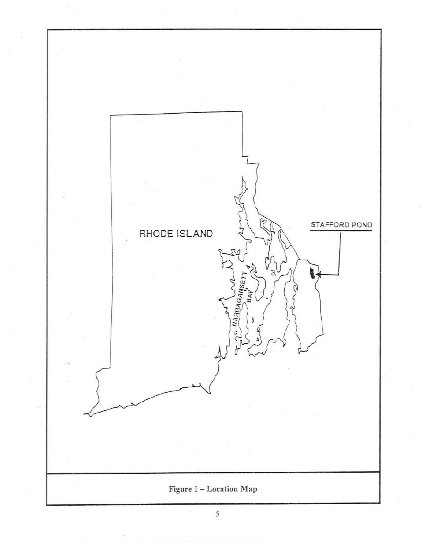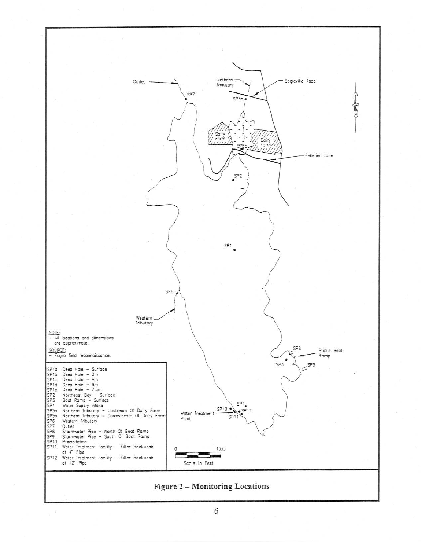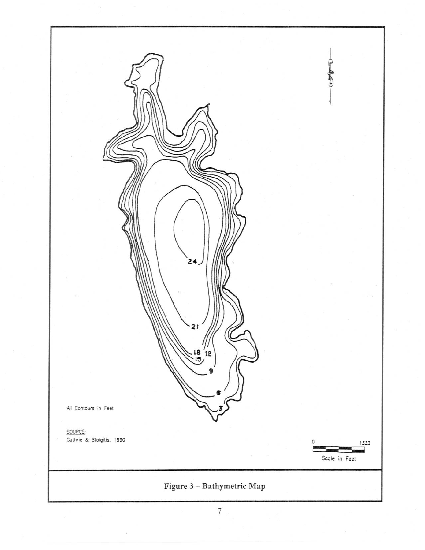

 $\boldsymbol{7}$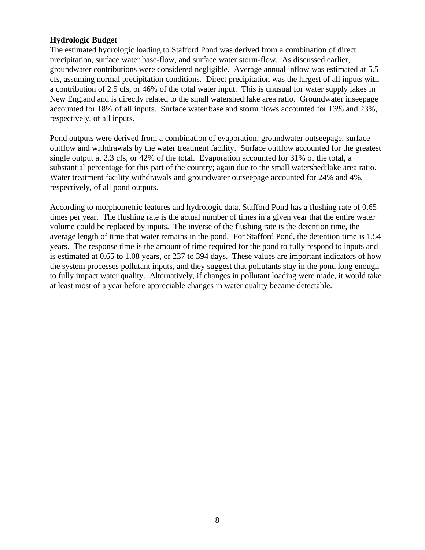## **Hydrologic Budget**

The estimated hydrologic loading to Stafford Pond was derived from a combination of direct precipitation, surface water base-flow, and surface water storm-flow. As discussed earlier, groundwater contributions were considered negligible. Average annual inflow was estimated at 5.5 cfs, assuming normal precipitation conditions. Direct precipitation was the largest of all inputs with a contribution of 2.5 cfs, or 46% of the total water input. This is unusual for water supply lakes in New England and is directly related to the small watershed:lake area ratio. Groundwater inseepage accounted for 18% of all inputs. Surface water base and storm flows accounted for 13% and 23%, respectively, of all inputs.

Pond outputs were derived from a combination of evaporation, groundwater outseepage, surface outflow and withdrawals by the water treatment facility. Surface outflow accounted for the greatest single output at 2.3 cfs, or 42% of the total. Evaporation accounted for 31% of the total, a substantial percentage for this part of the country; again due to the small watershed:lake area ratio. Water treatment facility withdrawals and groundwater outseepage accounted for 24% and 4%, respectively, of all pond outputs.

According to morphometric features and hydrologic data, Stafford Pond has a flushing rate of 0.65 times per year. The flushing rate is the actual number of times in a given year that the entire water volume could be replaced by inputs. The inverse of the flushing rate is the detention time, the average length of time that water remains in the pond. For Stafford Pond, the detention time is 1.54 years. The response time is the amount of time required for the pond to fully respond to inputs and is estimated at 0.65 to 1.08 years, or 237 to 394 days. These values are important indicators of how the system processes pollutant inputs, and they suggest that pollutants stay in the pond long enough to fully impact water quality. Alternatively, if changes in pollutant loading were made, it would take at least most of a year before appreciable changes in water quality became detectable.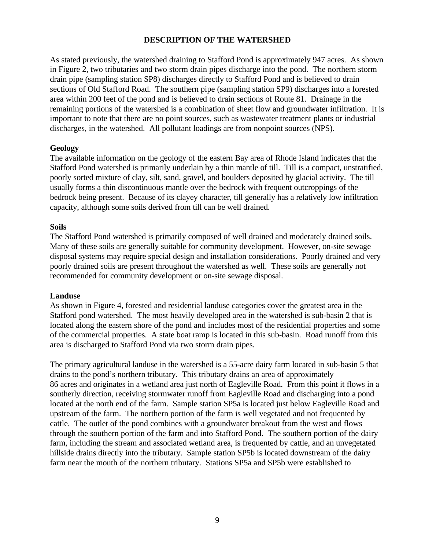## **DESCRIPTION OF THE WATERSHED**

As stated previously, the watershed draining to Stafford Pond is approximately 947 acres. As shown in Figure 2, two tributaries and two storm drain pipes discharge into the pond. The northern storm drain pipe (sampling station SP8) discharges directly to Stafford Pond and is believed to drain sections of Old Stafford Road. The southern pipe (sampling station SP9) discharges into a forested area within 200 feet of the pond and is believed to drain sections of Route 81. Drainage in the remaining portions of the watershed is a combination of sheet flow and groundwater infiltration. It is important to note that there are no point sources, such as wastewater treatment plants or industrial discharges, in the watershed. All pollutant loadings are from nonpoint sources (NPS).

#### **Geology**

The available information on the geology of the eastern Bay area of Rhode Island indicates that the Stafford Pond watershed is primarily underlain by a thin mantle of till. Till is a compact, unstratified, poorly sorted mixture of clay, silt, sand, gravel, and boulders deposited by glacial activity. The till usually forms a thin discontinuous mantle over the bedrock with frequent outcroppings of the bedrock being present. Because of its clayey character, till generally has a relatively low infiltration capacity, although some soils derived from till can be well drained.

#### **Soils**

The Stafford Pond watershed is primarily composed of well drained and moderately drained soils. Many of these soils are generally suitable for community development. However, on-site sewage disposal systems may require special design and installation considerations. Poorly drained and very poorly drained soils are present throughout the watershed as well. These soils are generally not recommended for community development or on-site sewage disposal.

#### **Landuse**

As shown in Figure 4, forested and residential landuse categories cover the greatest area in the Stafford pond watershed. The most heavily developed area in the watershed is sub-basin 2 that is located along the eastern shore of the pond and includes most of the residential properties and some of the commercial properties. A state boat ramp is located in this sub-basin. Road runoff from this area is discharged to Stafford Pond via two storm drain pipes.

The primary agricultural landuse in the watershed is a 55-acre dairy farm located in sub-basin 5 that drains to the pond's northern tributary. This tributary drains an area of approximately 86 acres and originates in a wetland area just north of Eagleville Road. From this point it flows in a southerly direction, receiving stormwater runoff from Eagleville Road and discharging into a pond located at the north end of the farm. Sample station SP5a is located just below Eagleville Road and upstream of the farm. The northern portion of the farm is well vegetated and not frequented by cattle. The outlet of the pond combines with a groundwater breakout from the west and flows through the southern portion of the farm and into Stafford Pond. The southern portion of the dairy farm, including the stream and associated wetland area, is frequented by cattle, and an unvegetated hillside drains directly into the tributary. Sample station SP5b is located downstream of the dairy farm near the mouth of the northern tributary. Stations SP5a and SP5b were established to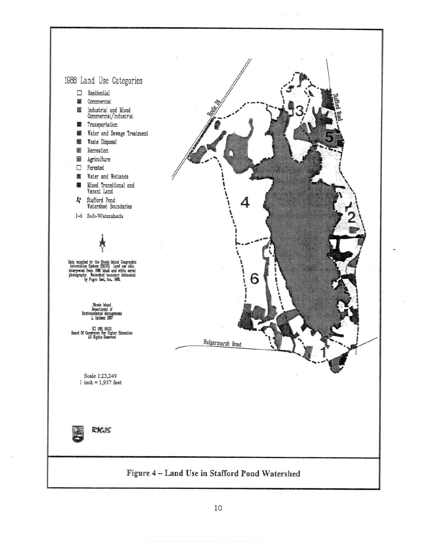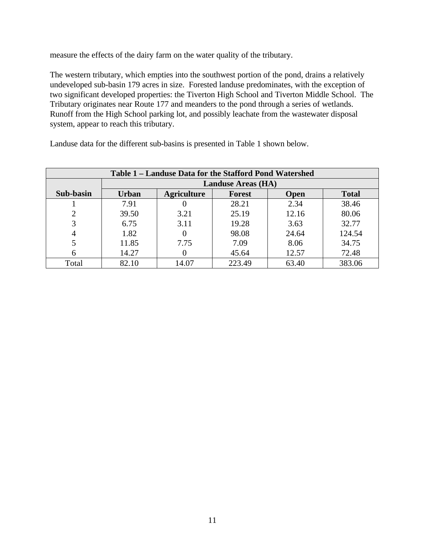measure the effects of the dairy farm on the water quality of the tributary.

The western tributary, which empties into the southwest portion of the pond, drains a relatively undeveloped sub-basin 179 acres in size. Forested landuse predominates, with the exception of two significant developed properties: the Tiverton High School and Tiverton Middle School. The Tributary originates near Route 177 and meanders to the pond through a series of wetlands. Runoff from the High School parking lot, and possibly leachate from the wastewater disposal system, appear to reach this tributary.

| Table 1 – Landuse Data for the Stafford Pond Watershed |              |                           |               |             |              |  |  |  |  |  |  |  |
|--------------------------------------------------------|--------------|---------------------------|---------------|-------------|--------------|--|--|--|--|--|--|--|
|                                                        |              | <b>Landuse Areas (HA)</b> |               |             |              |  |  |  |  |  |  |  |
| Sub-basin                                              | <b>Urban</b> | <b>Agriculture</b>        | <b>Forest</b> | <b>Open</b> | <b>Total</b> |  |  |  |  |  |  |  |
|                                                        | 7.91         |                           | 28.21         | 2.34        | 38.46        |  |  |  |  |  |  |  |
|                                                        | 39.50        | 3.21                      | 25.19         | 12.16       | 80.06        |  |  |  |  |  |  |  |
|                                                        | 6.75         | 3.11                      | 19.28         | 3.63        | 32.77        |  |  |  |  |  |  |  |
| 4                                                      | 1.82         |                           | 98.08         | 24.64       | 124.54       |  |  |  |  |  |  |  |
|                                                        | 11.85        | 7.75                      | 7.09          | 8.06        | 34.75        |  |  |  |  |  |  |  |
| 6                                                      | 14.27        |                           | 45.64         | 12.57       | 72.48        |  |  |  |  |  |  |  |
| Total                                                  | 82.10        | 14.07                     | 223.49        | 63.40       | 383.06       |  |  |  |  |  |  |  |

Landuse data for the different sub-basins is presented in Table 1 shown below.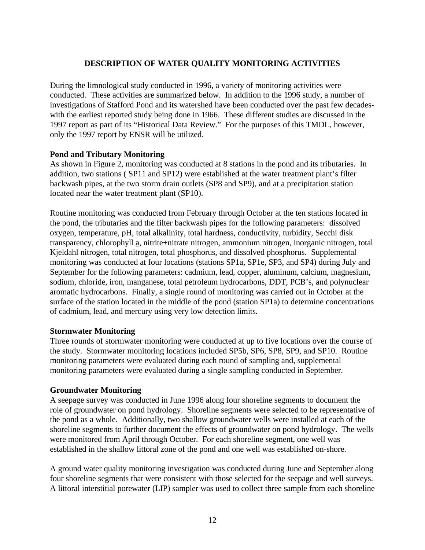# **DESCRIPTION OF WATER QUALITY MONITORING ACTIVITIES**

During the limnological study conducted in 1996, a variety of monitoring activities were conducted. These activities are summarized below. In addition to the 1996 study, a number of investigations of Stafford Pond and its watershed have been conducted over the past few decadeswith the earliest reported study being done in 1966. These different studies are discussed in the 1997 report as part of its "Historical Data Review." For the purposes of this TMDL, however, only the 1997 report by ENSR will be utilized.

## **Pond and Tributary Monitoring**

As shown in Figure 2, monitoring was conducted at 8 stations in the pond and its tributaries. In addition, two stations ( SP11 and SP12) were established at the water treatment plant's filter backwash pipes, at the two storm drain outlets (SP8 and SP9), and at a precipitation station located near the water treatment plant (SP10).

Routine monitoring was conducted from February through October at the ten stations located in the pond, the tributaries and the filter backwash pipes for the following parameters: dissolved oxygen, temperature, pH, total alkalinity, total hardness, conductivity, turbidity, Secchi disk transparency, chlorophyll a, nitrite+nitrate nitrogen, ammonium nitrogen, inorganic nitrogen, total Kjeldahl nitrogen, total nitrogen, total phosphorus, and dissolved phosphorus. Supplemental monitoring was conducted at four locations (stations SP1a, SP1e, SP3, and SP4) during July and September for the following parameters: cadmium, lead, copper, aluminum, calcium, magnesium, sodium, chloride, iron, manganese, total petroleum hydrocarbons, DDT, PCB's, and polynuclear aromatic hydrocarbons. Finally, a single round of monitoring was carried out in October at the surface of the station located in the middle of the pond (station SP1a) to determine concentrations of cadmium, lead, and mercury using very low detection limits.

# **Stormwater Monitoring**

Three rounds of stormwater monitoring were conducted at up to five locations over the course of the study. Stormwater monitoring locations included SP5b, SP6, SP8, SP9, and SP10. Routine monitoring parameters were evaluated during each round of sampling and, supplemental monitoring parameters were evaluated during a single sampling conducted in September.

#### **Groundwater Monitoring**

A seepage survey was conducted in June 1996 along four shoreline segments to document the role of groundwater on pond hydrology. Shoreline segments were selected to be representative of the pond as a whole. Additionally, two shallow groundwater wells were installed at each of the shoreline segments to further document the effects of groundwater on pond hydrology. The wells were monitored from April through October. For each shoreline segment, one well was established in the shallow littoral zone of the pond and one well was established on-shore.

A ground water quality monitoring investigation was conducted during June and September along four shoreline segments that were consistent with those selected for the seepage and well surveys. A littoral interstitial porewater (LIP) sampler was used to collect three sample from each shoreline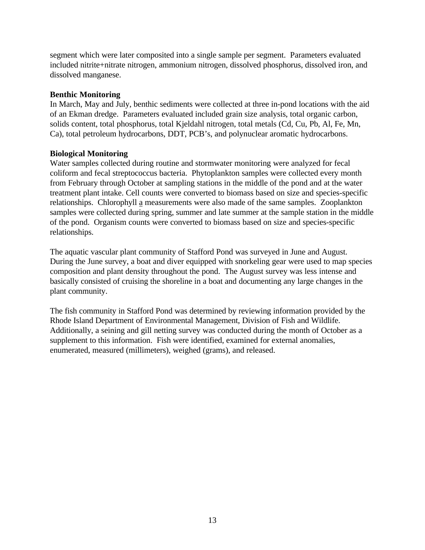segment which were later composited into a single sample per segment. Parameters evaluated included nitrite+nitrate nitrogen, ammonium nitrogen, dissolved phosphorus, dissolved iron, and dissolved manganese.

## **Benthic Monitoring**

In March, May and July, benthic sediments were collected at three in-pond locations with the aid of an Ekman dredge. Parameters evaluated included grain size analysis, total organic carbon, solids content, total phosphorus, total Kjeldahl nitrogen, total metals (Cd, Cu, Pb, Al, Fe, Mn, Ca), total petroleum hydrocarbons, DDT, PCB's, and polynuclear aromatic hydrocarbons.

## **Biological Monitoring**

Water samples collected during routine and stormwater monitoring were analyzed for fecal coliform and fecal streptococcus bacteria. Phytoplankton samples were collected every month from February through October at sampling stations in the middle of the pond and at the water treatment plant intake. Cell counts were converted to biomass based on size and species-specific relationships. Chlorophyll a measurements were also made of the same samples. Zooplankton samples were collected during spring, summer and late summer at the sample station in the middle of the pond. Organism counts were converted to biomass based on size and species-specific relationships.

The aquatic vascular plant community of Stafford Pond was surveyed in June and August. During the June survey, a boat and diver equipped with snorkeling gear were used to map species composition and plant density throughout the pond. The August survey was less intense and basically consisted of cruising the shoreline in a boat and documenting any large changes in the plant community.

The fish community in Stafford Pond was determined by reviewing information provided by the Rhode Island Department of Environmental Management, Division of Fish and Wildlife. Additionally, a seining and gill netting survey was conducted during the month of October as a supplement to this information. Fish were identified, examined for external anomalies, enumerated, measured (millimeters), weighed (grams), and released.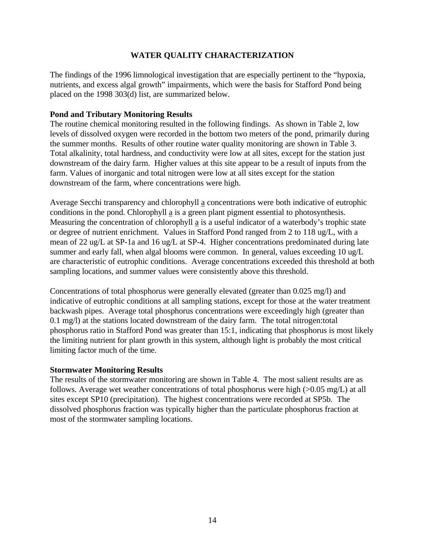# **WATER QUALITY CHARACTERIZATION**

The findings of the 1996 limnological investigation that are especially pertinent to the "hypoxia, nutrients, and excess algal growth" impairments, which were the basis for Stafford Pond being placed on the 1998 303(d) list, are summarized below.

#### **Pond and Tributary Monitoring Results**

The routine chemical monitoring resulted in the following findings. As shown in Table 2, low levels of dissolved oxygen were recorded in the bottom two meters of the pond, primarily during the summer months. Results of other routine water quality monitoring are shown in Table 3. Total alkalinity, total hardness, and conductivity were low at all sites, except for the station just downstream of the dairy farm. Higher values at this site appear to be a result of inputs from the farm. Values of inorganic and total nitrogen were low at all sites except for the station downstream of the farm, where concentrations were high.

Average Secchi transparency and chlorophyll a concentrations were both indicative of eutrophic conditions in the pond. Chlorophyll a is a green plant pigment essential to photosynthesis. Measuring the concentration of chlorophyll a is a useful indicator of a waterbody's trophic state or degree of nutrient enrichment. Values in Stafford Pond ranged from 2 to 118 ug/L, with a mean of 22 ug/L at SP-1a and 16 ug/L at SP-4. Higher concentrations predominated during late summer and early fall, when algal blooms were common. In general, values exceeding 10 ug/L are characteristic of eutrophic conditions. Average concentrations exceeded this threshold at both sampling locations, and summer values were consistently above this threshold.

Concentrations of total phosphorus were generally elevated (greater than 0.025 mg/l) and indicative of eutrophic conditions at all sampling stations, except for those at the water treatment backwash pipes. Average total phosphorus concentrations were exceedingly high (greater than 0.1 mg/l) at the stations located downstream of the dairy farm. The total nitrogen:total phosphorus ratio in Stafford Pond was greater than 15:1, indicating that phosphorus is most likely the limiting nutrient for plant growth in this system, although light is probably the most critical limiting factor much of the time.

#### **Stormwater Monitoring Results**

The results of the stormwater monitoring are shown in Table 4. The most salient results are as follows. Average wet weather concentrations of total phosphorus were high (>0.05 mg/L) at all sites except SP10 (precipitation). The highest concentrations were recorded at SP5b. The dissolved phosphorus fraction was typically higher than the particulate phosphorus fraction at most of the stormwater sampling locations.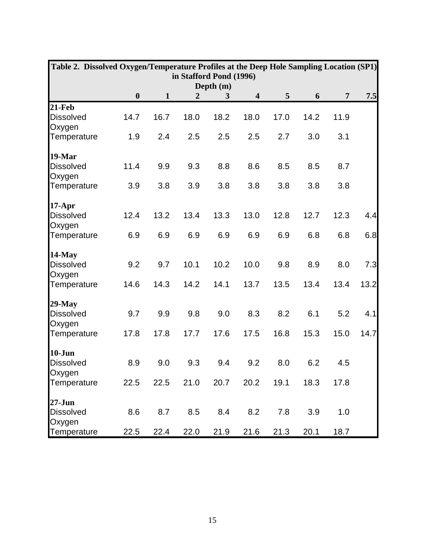| Table 2. Dissolved Oxygen/Temperature Profiles at the Deep Hole Sampling Location (SP1)                                            |      |      |      |      |      |      |      |      |        |  |
|------------------------------------------------------------------------------------------------------------------------------------|------|------|------|------|------|------|------|------|--------|--|
| in Stafford Pond (1996)                                                                                                            |      |      |      |      |      |      |      |      |        |  |
| Depth (m)<br>$\boldsymbol{0}$<br>5<br>$\overline{\mathbf{4}}$<br>6<br>$\overline{7}$<br>7.5<br>$\mathbf{1}$<br>$\overline{2}$<br>3 |      |      |      |      |      |      |      |      |        |  |
| $21$ -Feb                                                                                                                          |      |      |      |      |      |      |      |      |        |  |
| <b>Dissolved</b><br>Oxygen                                                                                                         | 14.7 | 16.7 | 18.0 | 18.2 | 18.0 | 17.0 | 14.2 | 11.9 |        |  |
| Temperature                                                                                                                        | 1.9  | 2.4  | 2.5  | 2.5  | 2.5  | 2.7  | 3.0  | 3.1  |        |  |
| 19-Mar                                                                                                                             |      |      |      |      |      |      |      |      |        |  |
| <b>Dissolved</b><br>Oxygen                                                                                                         | 11.4 | 9.9  | 9.3  | 8.8  | 8.6  | 8.5  | 8.5  | 8.7  |        |  |
| Temperature                                                                                                                        | 3.9  | 3.8  | 3.9  | 3.8  | 3.8  | 3.8  | 3.8  | 3.8  |        |  |
| $17-Apr$                                                                                                                           |      |      |      |      |      |      |      |      |        |  |
| <b>Dissolved</b><br>Oxygen                                                                                                         | 12.4 | 13.2 | 13.4 | 13.3 | 13.0 | 12.8 | 12.7 | 12.3 | 4.4    |  |
| Temperature                                                                                                                        | 6.9  | 6.9  | 6.9  | 6.9  | 6.9  | 6.9  | 6.8  | 6.8  | 6.8    |  |
| $14$ -May                                                                                                                          |      |      |      |      |      |      |      |      |        |  |
| <b>Dissolved</b><br>Oxygen                                                                                                         | 9.2  | 9.7  | 10.1 | 10.2 | 10.0 | 9.8  | 8.9  | 8.0  | 7.3    |  |
| Temperature                                                                                                                        | 14.6 | 14.3 | 14.2 | 14.1 | 13.7 | 13.5 | 13.4 | 13.4 | $13.2$ |  |
| $29$ -May                                                                                                                          |      |      |      |      |      |      |      |      |        |  |
| <b>Dissolved</b><br>Oxygen                                                                                                         | 9.7  | 9.9  | 9.8  | 9.0  | 8.3  | 8.2  | 6.1  | 5.2  | 4.1    |  |
| Temperature                                                                                                                        | 17.8 | 17.8 | 17.7 | 17.6 | 17.5 | 16.8 | 15.3 | 15.0 | 14.7   |  |
| $10 - Jun$                                                                                                                         |      |      |      |      |      |      |      |      |        |  |
| <b>Dissolved</b><br>Oxygen                                                                                                         | 8.9  | 9.0  | 9.3  | 9.4  | 9.2  | 8.0  | 6.2  | 4.5  |        |  |
| Temperature                                                                                                                        | 22.5 | 22.5 | 21.0 | 20.7 | 20.2 | 19.1 | 18.3 | 17.8 |        |  |
| $27 - Jun$                                                                                                                         |      |      |      |      |      |      |      |      |        |  |
| <b>Dissolved</b><br>Oxygen                                                                                                         | 8.6  | 8.7  | 8.5  | 8.4  | 8.2  | 7.8  | 3.9  | 1.0  |        |  |
| Temperature                                                                                                                        | 22.5 | 22.4 | 22.0 | 21.9 | 21.6 | 21.3 | 20.1 | 18.7 |        |  |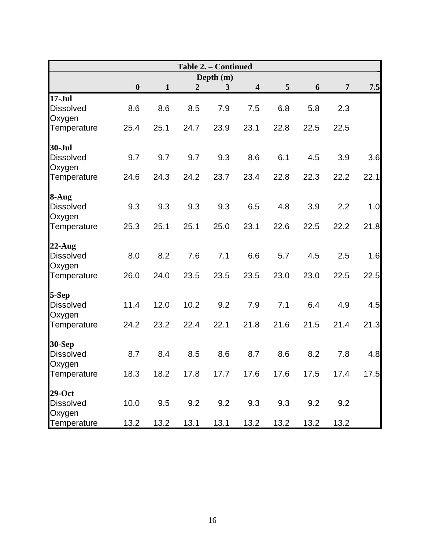|                            |                  |              |                  | Table 2. - Continued |                         |                 |      |                |      |  |
|----------------------------|------------------|--------------|------------------|----------------------|-------------------------|-----------------|------|----------------|------|--|
| Depth (m)                  |                  |              |                  |                      |                         |                 |      |                |      |  |
|                            | $\boldsymbol{0}$ | $\mathbf{1}$ | $\boldsymbol{2}$ | $\mathbf{3}$         | $\overline{\mathbf{4}}$ | $5\overline{)}$ | 6    | $\overline{7}$ | 7.5  |  |
| $17-Jul$                   |                  |              |                  |                      |                         |                 |      |                |      |  |
| <b>Dissolved</b>           | 8.6              | 8.6          | 8.5              | 7.9                  | 7.5                     | 6.8             | 5.8  | 2.3            |      |  |
| Oxygen                     |                  |              |                  |                      |                         |                 |      |                |      |  |
| Temperature                | 25.4             | 25.1         | 24.7             | 23.9                 | 23.1                    | 22.8            | 22.5 | 22.5           |      |  |
| 30-Jul                     |                  |              |                  |                      |                         |                 |      |                |      |  |
| <b>Dissolved</b><br>Oxygen | 9.7              | 9.7          | 9.7              | 9.3                  | 8.6                     | 6.1             | 4.5  | 3.9            | 3.6  |  |
| Temperature                | 24.6             | 24.3         | 24.2             | 23.7                 | 23.4                    | 22.8            | 22.3 | 22.2           | 22.1 |  |
| 8-Aug                      |                  |              |                  |                      |                         |                 |      |                |      |  |
| <b>Dissolved</b>           | 9.3              | 9.3          | 9.3              | 9.3                  | 6.5                     | 4.8             | 3.9  | 2.2            | 1.0  |  |
| Oxygen                     |                  |              |                  |                      |                         |                 |      |                |      |  |
| Temperature                | 25.3             | 25.1         | 25.1             | 25.0                 | 23.1                    | 22.6            | 22.5 | 22.2           | 21.8 |  |
| $22$ -Aug                  |                  |              |                  |                      |                         |                 |      |                |      |  |
| <b>Dissolved</b>           | 8.0              | 8.2          | 7.6              | 7.1                  | 6.6                     | 5.7             | 4.5  | 2.5            | 1.6  |  |
| Oxygen                     |                  |              |                  |                      |                         |                 |      |                |      |  |
| Temperature                | 26.0             | 24.0         | 23.5             | 23.5                 | 23.5                    | 23.0            | 23.0 | 22.5           | 22.5 |  |
| 5-Sep                      |                  |              |                  |                      |                         |                 |      |                |      |  |
| <b>Dissolved</b>           | 11.4             | 12.0         | 10.2             | 9.2                  | 7.9                     | 7.1             | 6.4  | 4.9            | 4.5  |  |
| Oxygen                     |                  |              |                  |                      |                         |                 |      |                |      |  |
| Temperature                | 24.2             | 23.2         | 22.4             | 22.1                 | 21.8                    | 21.6            | 21.5 | 21.4           | 21.3 |  |
| <b>30-Sep</b>              |                  |              |                  |                      |                         |                 |      |                |      |  |
| <b>Dissolved</b>           | 8.7              | 8.4          | 8.5              | 8.6                  | 8.7                     | 8.6             | 8.2  | 7.8            | 4.8  |  |
| Oxygen                     |                  |              |                  |                      |                         |                 |      |                |      |  |
| Temperature                | 18.3             | 18.2         | 17.8             | 17.7                 | 17.6                    | 17.6            | 17.5 | 17.4           | 17.5 |  |
| $29-Oct$                   |                  |              |                  |                      |                         |                 |      |                |      |  |
| <b>Dissolved</b><br>Oxygen | 10.0             | 9.5          | 9.2              | 9.2                  | 9.3                     | 9.3             | 9.2  | 9.2            |      |  |
| Temperature                | 13.2             | 13.2         | 13.1             | 13.1                 | 13.2                    | 13.2            | 13.2 | 13.2           |      |  |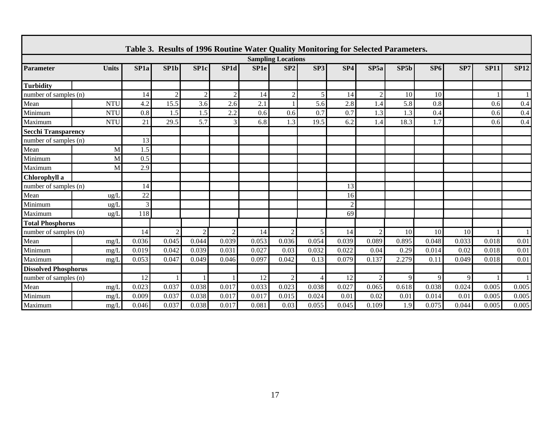|                             | Table 3. Results of 1996 Routine Water Quality Monitoring for Selected Parameters.<br><b>Sampling Locations</b> |                  |                   |                  |                   |                  |       |                          |                 |                |       |       |       |             |              |
|-----------------------------|-----------------------------------------------------------------------------------------------------------------|------------------|-------------------|------------------|-------------------|------------------|-------|--------------------------|-----------------|----------------|-------|-------|-------|-------------|--------------|
| <b>Parameter</b>            | <b>Units</b>                                                                                                    | SP <sub>1a</sub> | SP <sub>1</sub> b | SP <sub>1c</sub> | SP <sub>1</sub> d | SP <sub>1e</sub> | SP2   | SP3                      | SP <sub>4</sub> | SP5a           | SP5b  | SP6   | SP7   | <b>SP11</b> | <b>SP12</b>  |
| <b>Turbidity</b>            |                                                                                                                 |                  |                   |                  |                   |                  |       |                          |                 |                |       |       |       |             |              |
| number of samples (n)       |                                                                                                                 | 14               | $\overline{2}$    | 2                | 2                 | 14               | 2     | 5                        | 14              | $\overline{2}$ | 10    | 10    |       |             | $\mathbf{1}$ |
| Mean                        | <b>NTU</b>                                                                                                      | 4.2              | 15.5              | 3.6              | 2.6               | 2.1              |       | 5.6                      | 2.8             | 1.4            | 5.8   | 0.8   |       | 0.6         | 0.4          |
| Minimum                     | <b>NTU</b>                                                                                                      | 0.8              | 1.5               | 1.5              | 2.2               | 0.6              | 0.6   | 0.7                      | 0.7             | 1.3            | 1.3   | 0.4   |       | 0.6         | 0.4          |
| Maximum                     | <b>NTU</b>                                                                                                      | 21               | 29.5              | 5.7              | 3                 | 6.8              | 1.3   | 19.5                     | 6.2             | 1.4            | 18.3  | 1.7   |       | 0.6         | 0.4          |
| <b>Secchi Transparency</b>  |                                                                                                                 |                  |                   |                  |                   |                  |       |                          |                 |                |       |       |       |             |              |
| number of samples (n)       |                                                                                                                 | 13               |                   |                  |                   |                  |       |                          |                 |                |       |       |       |             |              |
| Mean                        | M                                                                                                               | 1.5              |                   |                  |                   |                  |       |                          |                 |                |       |       |       |             |              |
| Minimum                     | M                                                                                                               | 0.5              |                   |                  |                   |                  |       |                          |                 |                |       |       |       |             |              |
| Maximum                     | M                                                                                                               | 2.9              |                   |                  |                   |                  |       |                          |                 |                |       |       |       |             |              |
| Chlorophyll a               |                                                                                                                 |                  |                   |                  |                   |                  |       |                          |                 |                |       |       |       |             |              |
| number of samples (n)       |                                                                                                                 | 14               |                   |                  |                   |                  |       |                          | 13              |                |       |       |       |             |              |
| Mean                        | $\text{ug}/\text{L}$                                                                                            | 22               |                   |                  |                   |                  |       |                          | 16              |                |       |       |       |             |              |
| Minimum                     | ug/L                                                                                                            | $\mathfrak{Z}$   |                   |                  |                   |                  |       |                          | $\overline{2}$  |                |       |       |       |             |              |
| Maximum                     | $u\text{g}/I$                                                                                                   | 118              |                   |                  |                   |                  |       |                          | 69              |                |       |       |       |             |              |
| <b>Total Phosphorus</b>     |                                                                                                                 |                  |                   |                  |                   |                  |       |                          |                 |                |       |       |       |             |              |
| number of samples (n)       |                                                                                                                 | 14               | $\overline{2}$    | $\overline{2}$   | $\overline{c}$    | 14               | 2     | 5                        | 14              | $\overline{2}$ | 10    | 10    | 10    |             | 1            |
| Mean                        | mg/L                                                                                                            | 0.036            | 0.045             | 0.044            | 0.039             | 0.053            | 0.036 | 0.054                    | 0.039           | 0.089          | 0.895 | 0.048 | 0.033 | 0.018       | 0.01         |
| Minimum                     | mg/I                                                                                                            | 0.019            | 0.042             | 0.039            | 0.031             | 0.027            | 0.03  | 0.032                    | 0.022           | 0.04           | 0.29  | 0.014 | 0.02  | 0.018       | 0.01         |
| Maximum                     | mg/L                                                                                                            | 0.053            | 0.047             | 0.049            | 0.046             | 0.097            | 0.042 | 0.13                     | 0.079           | 0.137          | 2.279 | 0.11  | 0.049 | 0.018       | 0.01         |
| <b>Dissolved Phosphorus</b> |                                                                                                                 |                  |                   |                  |                   |                  |       |                          |                 |                |       |       |       |             |              |
| number of samples (n)       |                                                                                                                 | 12               |                   |                  |                   | 12               | 2     | $\overline{\mathcal{A}}$ | 12              | $\overline{c}$ | 9     | 9     | 9     |             | $\mathbf{1}$ |
| Mean                        | mg/I                                                                                                            | 0.023            | 0.037             | 0.038            | 0.017             | 0.033            | 0.023 | 0.038                    | 0.027           | 0.065          | 0.618 | 0.038 | 0.024 | 0.005       | 0.005        |
| Minimum                     | $m\Omega/L$                                                                                                     | 0.009            | 0.037             | 0.038            | 0.017             | 0.017            | 0.015 | 0.024                    | 0.01            | 0.02           | 0.01  | 0.014 | 0.01  | 0.005       | 0.005        |
| Maximum                     | mg/L                                                                                                            | 0.046            | 0.037             | 0.038            | 0.017             | 0.081            | 0.03  | 0.055                    | 0.045           | 0.109          | 1.9   | 0.075 | 0.044 | 0.005       | 0.005        |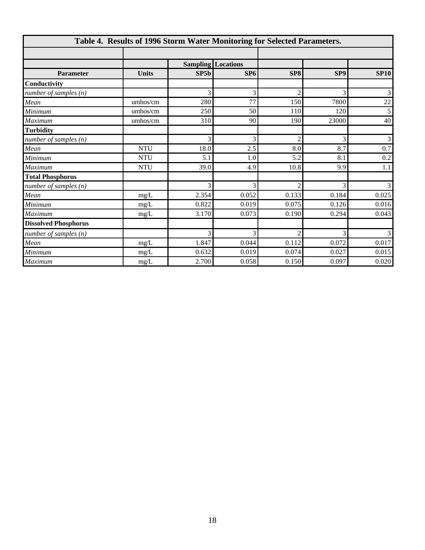| Table 4. Results of 1996 Storm Water Monitoring for Selected Parameters. |              |       |                           |                    |                 |                |  |  |  |  |
|--------------------------------------------------------------------------|--------------|-------|---------------------------|--------------------|-----------------|----------------|--|--|--|--|
|                                                                          |              |       |                           |                    |                 |                |  |  |  |  |
|                                                                          |              |       | <b>Sampling Locations</b> |                    |                 |                |  |  |  |  |
| <b>Parameter</b>                                                         | <b>Units</b> | SP5b  | SP <sub>6</sub>           | SP <sub>8</sub>    | SP <sub>9</sub> | <b>SP10</b>    |  |  |  |  |
| Conductivity                                                             |              |       |                           |                    |                 |                |  |  |  |  |
| number of samples $(n)$                                                  |              | 3     | 3                         | $\mathfrak{D}$     | 3               | $\overline{3}$ |  |  |  |  |
| Mean                                                                     | umhos/cm     | 280   | 77                        | 150                | 7800            | $22\,$         |  |  |  |  |
| Minimum                                                                  | umhos/cm     | 250   | 50                        | 110                | 120             | 5              |  |  |  |  |
| Maximum                                                                  | umhos/cm     | 310   | 90                        | 190                | 23000           | 40             |  |  |  |  |
| <b>Turbidity</b>                                                         |              |       |                           |                    |                 |                |  |  |  |  |
| number of samples $(n)$                                                  |              | 3     | 3                         | $\mathfrak{D}_{1}$ | 3               | $\mathfrak{Z}$ |  |  |  |  |
| Mean                                                                     | <b>NTU</b>   | 18.0  | 2.5                       | 8.0                | 8.7             | 0.7            |  |  |  |  |
| Minimum                                                                  | <b>NTU</b>   | 5.1   | 1.0                       | 5.2                | 8.1             | $0.2\,$        |  |  |  |  |
| Maximum                                                                  | <b>NTU</b>   | 39.0  | 4.9                       | 10.8               | 9.9             | 1.1            |  |  |  |  |
| <b>Total Phosphorus</b>                                                  |              |       |                           |                    |                 |                |  |  |  |  |
| number of samples $(n)$                                                  |              | 3     | 3                         | $\mathfrak{D}$     | 3               | $\overline{3}$ |  |  |  |  |
| Mean                                                                     | mg/L         | 2.354 | 0.052                     | 0.133              | 0.184           | 0.025          |  |  |  |  |
| Minimum                                                                  | $mg/L$       | 0.822 | 0.019                     | 0.075              | 0.126           | 0.016          |  |  |  |  |
| Maximum                                                                  | mg/L         | 3.170 | 0.073                     | 0.190              | 0.294           | 0.043          |  |  |  |  |
| <b>Dissolved Phosphorus</b>                                              |              |       |                           |                    |                 |                |  |  |  |  |
| number of samples $(n)$                                                  |              | 3     | 3                         | $\mathfrak{D}$     | 3               | $\overline{3}$ |  |  |  |  |
| Mean                                                                     | mg/L         | 1.847 | 0.044                     | 0.112              | 0.072           | 0.017          |  |  |  |  |
| Minimum                                                                  | mg/L         | 0.632 | 0.019                     | 0.074              | 0.027           | 0.015          |  |  |  |  |
| Maximum                                                                  | mg/L         | 2.700 | 0.058                     | 0.150              | 0.097           | 0.020          |  |  |  |  |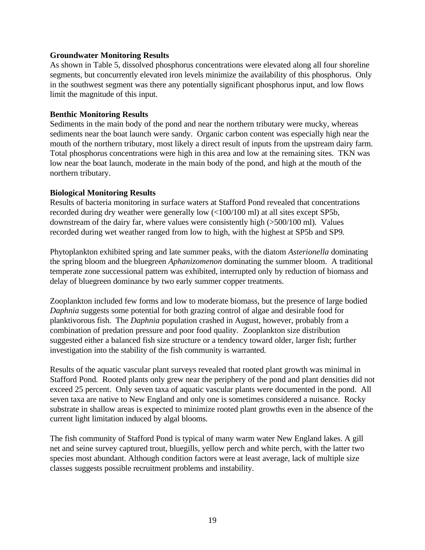#### **Groundwater Monitoring Results**

As shown in Table 5, dissolved phosphorus concentrations were elevated along all four shoreline segments, but concurrently elevated iron levels minimize the availability of this phosphorus. Only in the southwest segment was there any potentially significant phosphorus input, and low flows limit the magnitude of this input.

## **Benthic Monitoring Results**

Sediments in the main body of the pond and near the northern tributary were mucky, whereas sediments near the boat launch were sandy. Organic carbon content was especially high near the mouth of the northern tributary, most likely a direct result of inputs from the upstream dairy farm. Total phosphorus concentrations were high in this area and low at the remaining sites. TKN was low near the boat launch, moderate in the main body of the pond, and high at the mouth of the northern tributary.

## **Biological Monitoring Results**

Results of bacteria monitoring in surface waters at Stafford Pond revealed that concentrations recorded during dry weather were generally low (<100/100 ml) at all sites except SP5b, downstream of the dairy far, where values were consistently high (>500/100 ml). Values recorded during wet weather ranged from low to high, with the highest at SP5b and SP9.

Phytoplankton exhibited spring and late summer peaks, with the diatom *Asterionella* dominating the spring bloom and the bluegreen *Aphanizomenon* dominating the summer bloom. A traditional temperate zone successional pattern was exhibited, interrupted only by reduction of biomass and delay of bluegreen dominance by two early summer copper treatments.

Zooplankton included few forms and low to moderate biomass, but the presence of large bodied *Daphnia* suggests some potential for both grazing control of algae and desirable food for planktivorous fish. The *Daphnia* population crashed in August, however, probably from a combination of predation pressure and poor food quality. Zooplankton size distribution suggested either a balanced fish size structure or a tendency toward older, larger fish; further investigation into the stability of the fish community is warranted.

Results of the aquatic vascular plant surveys revealed that rooted plant growth was minimal in Stafford Pond. Rooted plants only grew near the periphery of the pond and plant densities did not exceed 25 percent. Only seven taxa of aquatic vascular plants were documented in the pond. All seven taxa are native to New England and only one is sometimes considered a nuisance. Rocky substrate in shallow areas is expected to minimize rooted plant growths even in the absence of the current light limitation induced by algal blooms.

The fish community of Stafford Pond is typical of many warm water New England lakes. A gill net and seine survey captured trout, bluegills, yellow perch and white perch, with the latter two species most abundant. Although condition factors were at least average, lack of multiple size classes suggests possible recruitment problems and instability.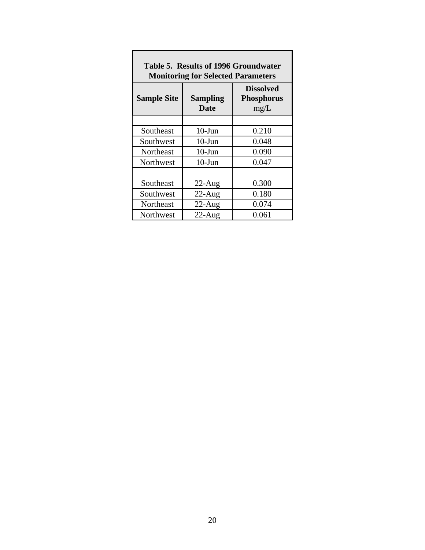| <b>Results VI 1770 MIVILLUMATEI</b><br><b>Monitoring for Selected Parameters</b> |                                               |       |  |  |  |  |  |  |  |
|----------------------------------------------------------------------------------|-----------------------------------------------|-------|--|--|--|--|--|--|--|
| <b>Sample Site</b>                                                               | <b>Dissolved</b><br><b>Phosphorus</b><br>mg/L |       |  |  |  |  |  |  |  |
|                                                                                  |                                               |       |  |  |  |  |  |  |  |
| Southeast                                                                        | $10$ -Jun                                     | 0.210 |  |  |  |  |  |  |  |
| Southwest                                                                        | $10$ -Jun                                     | 0.048 |  |  |  |  |  |  |  |
| Northeast                                                                        | $10$ -Jun                                     | 0.090 |  |  |  |  |  |  |  |
| Northwest                                                                        | $10$ -Jun                                     | 0.047 |  |  |  |  |  |  |  |
|                                                                                  |                                               |       |  |  |  |  |  |  |  |
| Southeast                                                                        | $22$ -Aug                                     | 0.300 |  |  |  |  |  |  |  |
| Southwest                                                                        | $22$ -Aug                                     | 0.180 |  |  |  |  |  |  |  |
| Northeast                                                                        | $22$ -Aug                                     | 0.074 |  |  |  |  |  |  |  |
| Northwest                                                                        | $22$ -Aug                                     | 0.061 |  |  |  |  |  |  |  |

|  | Table 5.Results of 1996 Groundwater       |
|--|-------------------------------------------|
|  | <b>Monitoring for Selected Parameters</b> |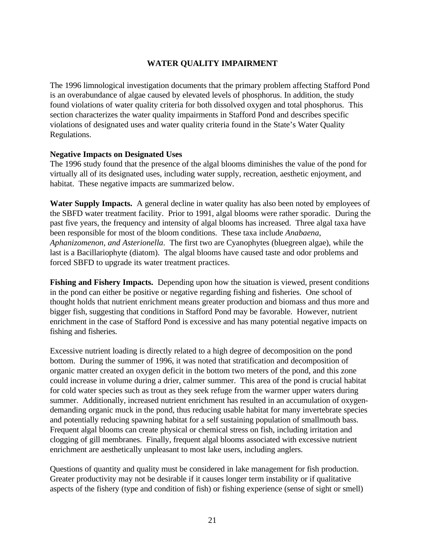# **WATER QUALITY IMPAIRMENT**

The 1996 limnological investigation documents that the primary problem affecting Stafford Pond is an overabundance of algae caused by elevated levels of phosphorus. In addition, the study found violations of water quality criteria for both dissolved oxygen and total phosphorus. This section characterizes the water quality impairments in Stafford Pond and describes specific violations of designated uses and water quality criteria found in the State's Water Quality Regulations.

## **Negative Impacts on Designated Uses**

The 1996 study found that the presence of the algal blooms diminishes the value of the pond for virtually all of its designated uses, including water supply, recreation, aesthetic enjoyment, and habitat. These negative impacts are summarized below.

**Water Supply Impacts.** A general decline in water quality has also been noted by employees of the SBFD water treatment facility. Prior to 1991, algal blooms were rather sporadic. During the past five years, the frequency and intensity of algal blooms has increased. Three algal taxa have been responsible for most of the bloom conditions. These taxa include *Anabaena*, *Aphanizomenon, and Asterionella*. The first two are Cyanophytes (bluegreen algae), while the last is a Bacillariophyte (diatom). The algal blooms have caused taste and odor problems and forced SBFD to upgrade its water treatment practices.

**Fishing and Fishery Impacts.** Depending upon how the situation is viewed, present conditions in the pond can either be positive or negative regarding fishing and fisheries. One school of thought holds that nutrient enrichment means greater production and biomass and thus more and bigger fish, suggesting that conditions in Stafford Pond may be favorable. However, nutrient enrichment in the case of Stafford Pond is excessive and has many potential negative impacts on fishing and fisheries.

Excessive nutrient loading is directly related to a high degree of decomposition on the pond bottom. During the summer of 1996, it was noted that stratification and decomposition of organic matter created an oxygen deficit in the bottom two meters of the pond, and this zone could increase in volume during a drier, calmer summer. This area of the pond is crucial habitat for cold water species such as trout as they seek refuge from the warmer upper waters during summer. Additionally, increased nutrient enrichment has resulted in an accumulation of oxygendemanding organic muck in the pond, thus reducing usable habitat for many invertebrate species and potentially reducing spawning habitat for a self sustaining population of smallmouth bass. Frequent algal blooms can create physical or chemical stress on fish, including irritation and clogging of gill membranes. Finally, frequent algal blooms associated with excessive nutrient enrichment are aesthetically unpleasant to most lake users, including anglers.

Questions of quantity and quality must be considered in lake management for fish production. Greater productivity may not be desirable if it causes longer term instability or if qualitative aspects of the fishery (type and condition of fish) or fishing experience (sense of sight or smell)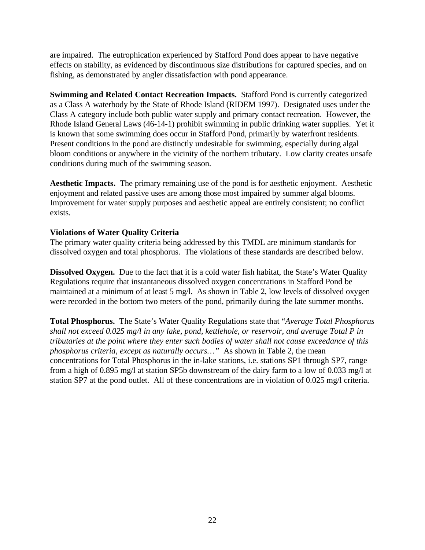are impaired. The eutrophication experienced by Stafford Pond does appear to have negative effects on stability, as evidenced by discontinuous size distributions for captured species, and on fishing, as demonstrated by angler dissatisfaction with pond appearance.

**Swimming and Related Contact Recreation Impacts.** Stafford Pond is currently categorized as a Class A waterbody by the State of Rhode Island (RIDEM 1997). Designated uses under the Class A category include both public water supply and primary contact recreation. However, the Rhode Island General Laws (46-14-1) prohibit swimming in public drinking water supplies. Yet it is known that some swimming does occur in Stafford Pond, primarily by waterfront residents. Present conditions in the pond are distinctly undesirable for swimming, especially during algal bloom conditions or anywhere in the vicinity of the northern tributary. Low clarity creates unsafe conditions during much of the swimming season.

**Aesthetic Impacts.** The primary remaining use of the pond is for aesthetic enjoyment. Aesthetic enjoyment and related passive uses are among those most impaired by summer algal blooms. Improvement for water supply purposes and aesthetic appeal are entirely consistent; no conflict exists.

## **Violations of Water Quality Criteria**

The primary water quality criteria being addressed by this TMDL are minimum standards for dissolved oxygen and total phosphorus. The violations of these standards are described below.

**Dissolved Oxygen.** Due to the fact that it is a cold water fish habitat, the State's Water Quality Regulations require that instantaneous dissolved oxygen concentrations in Stafford Pond be maintained at a minimum of at least 5 mg/l. As shown in Table 2, low levels of dissolved oxygen were recorded in the bottom two meters of the pond, primarily during the late summer months.

**Total Phosphorus.** The State's Water Quality Regulations state that "*Average Total Phosphorus shall not exceed 0.025 mg/l in any lake, pond, kettlehole, or reservoir, and average Total P in tributaries at the point where they enter such bodies of water shall not cause exceedance of this phosphorus criteria, except as naturally occurs…"* As shown in Table 2, the mean concentrations for Total Phosphorus in the in-lake stations, i.e. stations SP1 through SP7, range from a high of 0.895 mg/l at station SP5b downstream of the dairy farm to a low of 0.033 mg/l at station SP7 at the pond outlet. All of these concentrations are in violation of 0.025 mg/l criteria.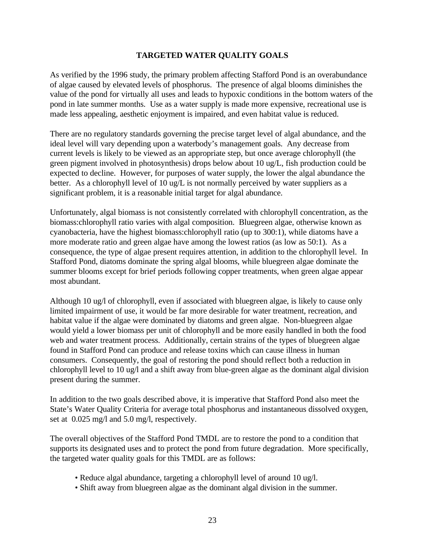## **TARGETED WATER QUALITY GOALS**

As verified by the 1996 study, the primary problem affecting Stafford Pond is an overabundance of algae caused by elevated levels of phosphorus. The presence of algal blooms diminishes the value of the pond for virtually all uses and leads to hypoxic conditions in the bottom waters of the pond in late summer months. Use as a water supply is made more expensive, recreational use is made less appealing, aesthetic enjoyment is impaired, and even habitat value is reduced.

There are no regulatory standards governing the precise target level of algal abundance, and the ideal level will vary depending upon a waterbody's management goals. Any decrease from current levels is likely to be viewed as an appropriate step, but once average chlorophyll (the green pigment involved in photosynthesis) drops below about 10 ug/L, fish production could be expected to decline. However, for purposes of water supply, the lower the algal abundance the better. As a chlorophyll level of 10 ug/L is not normally perceived by water suppliers as a significant problem, it is a reasonable initial target for algal abundance.

Unfortunately, algal biomass is not consistently correlated with chlorophyll concentration, as the biomass:chlorophyll ratio varies with algal composition. Bluegreen algae, otherwise known as cyanobacteria, have the highest biomass:chlorophyll ratio (up to 300:1), while diatoms have a more moderate ratio and green algae have among the lowest ratios (as low as 50:1). As a consequence, the type of algae present requires attention, in addition to the chlorophyll level. In Stafford Pond, diatoms dominate the spring algal blooms, while bluegreen algae dominate the summer blooms except for brief periods following copper treatments, when green algae appear most abundant.

Although 10 ug/l of chlorophyll, even if associated with bluegreen algae, is likely to cause only limited impairment of use, it would be far more desirable for water treatment, recreation, and habitat value if the algae were dominated by diatoms and green algae. Non-bluegreen algae would yield a lower biomass per unit of chlorophyll and be more easily handled in both the food web and water treatment process. Additionally, certain strains of the types of bluegreen algae found in Stafford Pond can produce and release toxins which can cause illness in human consumers. Consequently, the goal of restoring the pond should reflect both a reduction in chlorophyll level to 10 ug/l and a shift away from blue-green algae as the dominant algal division present during the summer.

In addition to the two goals described above, it is imperative that Stafford Pond also meet the State's Water Quality Criteria for average total phosphorus and instantaneous dissolved oxygen, set at 0.025 mg/l and 5.0 mg/l, respectively.

The overall objectives of the Stafford Pond TMDL are to restore the pond to a condition that supports its designated uses and to protect the pond from future degradation. More specifically, the targeted water quality goals for this TMDL are as follows:

- Reduce algal abundance, targeting a chlorophyll level of around 10 ug/l.
- Shift away from bluegreen algae as the dominant algal division in the summer.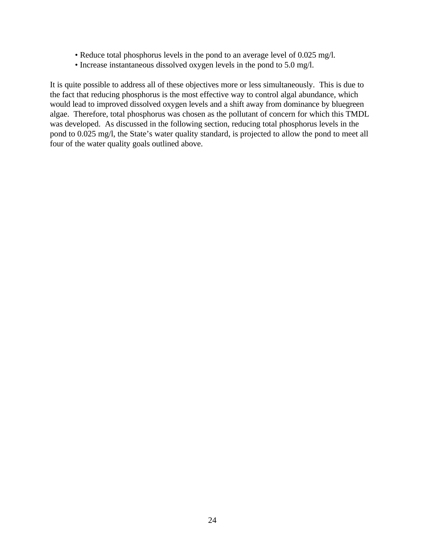- Reduce total phosphorus levels in the pond to an average level of 0.025 mg/l.
- Increase instantaneous dissolved oxygen levels in the pond to 5.0 mg/l.

It is quite possible to address all of these objectives more or less simultaneously. This is due to the fact that reducing phosphorus is the most effective way to control algal abundance, which would lead to improved dissolved oxygen levels and a shift away from dominance by bluegreen algae.Therefore, total phosphorus was chosen as the pollutant of concern for which this TMDL was developed. As discussed in the following section, reducing total phosphorus levels in the pond to 0.025 mg/l, the State's water quality standard, is projected to allow the pond to meet all four of the water quality goals outlined above.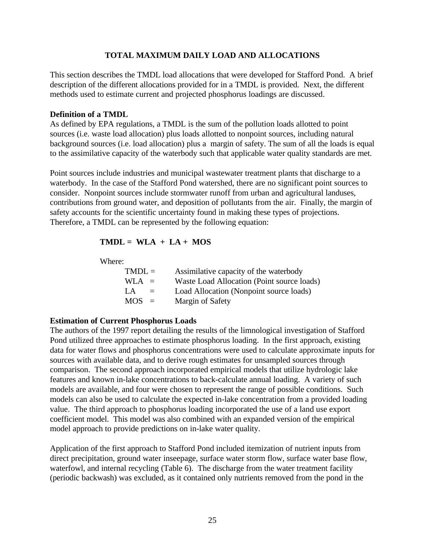### **TOTAL MAXIMUM DAILY LOAD AND ALLOCATIONS**

This section describes the TMDL load allocations that were developed for Stafford Pond. A brief description of the different allocations provided for in a TMDL is provided. Next, the different methods used to estimate current and projected phosphorus loadings are discussed.

## **Definition of a TMDL**

As defined by EPA regulations, a TMDL is the sum of the pollution loads allotted to point sources (i.e. waste load allocation) plus loads allotted to nonpoint sources, including natural background sources (i.e. load allocation) plus a margin of safety. The sum of all the loads is equal to the assimilative capacity of the waterbody such that applicable water quality standards are met.

Point sources include industries and municipal wastewater treatment plants that discharge to a waterbody. In the case of the Stafford Pond watershed, there are no significant point sources to consider. Nonpoint sources include stormwater runoff from urban and agricultural landuses, contributions from ground water, and deposition of pollutants from the air. Finally, the margin of safety accounts for the scientific uncertainty found in making these types of projections. Therefore, a TMDL can be represented by the following equation:

# $TMDL = WLA + LA + MOS$

Where:

| $TMDL =$     | Assimilative capacity of the waterbody     |
|--------------|--------------------------------------------|
| $WLA =$      | Waste Load Allocation (Point source loads) |
| $L_A$<br>$=$ | Load Allocation (Nonpoint source loads)    |
| $MOS =$      | Margin of Safety                           |

# **Estimation of Current Phosphorus Loads**

The authors of the 1997 report detailing the results of the limnological investigation of Stafford Pond utilized three approaches to estimate phosphorus loading. In the first approach, existing data for water flows and phosphorus concentrations were used to calculate approximate inputs for sources with available data, and to derive rough estimates for unsampled sources through comparison. The second approach incorporated empirical models that utilize hydrologic lake features and known in-lake concentrations to back-calculate annual loading. A variety of such models are available, and four were chosen to represent the range of possible conditions. Such models can also be used to calculate the expected in-lake concentration from a provided loading value. The third approach to phosphorus loading incorporated the use of a land use export coefficient model. This model was also combined with an expanded version of the empirical model approach to provide predictions on in-lake water quality.

Application of the first approach to Stafford Pond included itemization of nutrient inputs from direct precipitation, ground water inseepage, surface water storm flow, surface water base flow, waterfowl, and internal recycling (Table 6). The discharge from the water treatment facility (periodic backwash) was excluded, as it contained only nutrients removed from the pond in the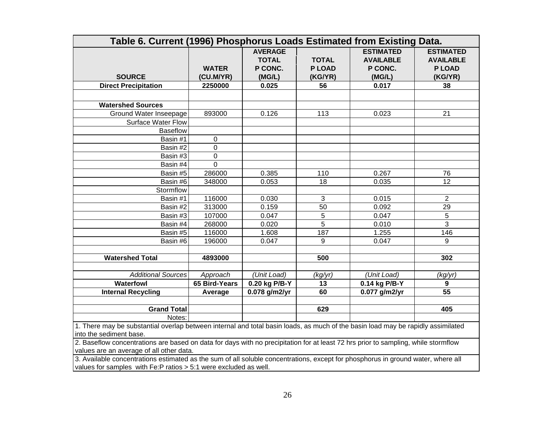| Table 6. Current (1996) Phosphorus Loads Estimated from Existing Data.                                                          |                           |                                                     |                                         |                                                           |                                                                 |  |  |  |  |
|---------------------------------------------------------------------------------------------------------------------------------|---------------------------|-----------------------------------------------------|-----------------------------------------|-----------------------------------------------------------|-----------------------------------------------------------------|--|--|--|--|
| <b>SOURCE</b>                                                                                                                   | <b>WATER</b><br>(CU.M/YR) | <b>AVERAGE</b><br><b>TOTAL</b><br>P CONC.<br>(MG/L) | <b>TOTAL</b><br><b>PLOAD</b><br>(KG/YR) | <b>ESTIMATED</b><br><b>AVAILABLE</b><br>P CONC.<br>(MG/L) | <b>ESTIMATED</b><br><b>AVAILABLE</b><br><b>PLOAD</b><br>(KG/YR) |  |  |  |  |
| <b>Direct Precipitation</b>                                                                                                     | 2250000                   | 0.025                                               | 56                                      | 0.017                                                     | 38                                                              |  |  |  |  |
|                                                                                                                                 |                           |                                                     |                                         |                                                           |                                                                 |  |  |  |  |
| <b>Watershed Sources</b>                                                                                                        |                           |                                                     |                                         |                                                           |                                                                 |  |  |  |  |
| Ground Water Inseepage                                                                                                          | 893000                    | 0.126                                               | 113                                     | 0.023                                                     | 21                                                              |  |  |  |  |
| <b>Surface Water Flow</b>                                                                                                       |                           |                                                     |                                         |                                                           |                                                                 |  |  |  |  |
| <b>Baseflow</b>                                                                                                                 |                           |                                                     |                                         |                                                           |                                                                 |  |  |  |  |
| Basin #1                                                                                                                        | $\mathbf 0$               |                                                     |                                         |                                                           |                                                                 |  |  |  |  |
| Basin #2                                                                                                                        | $\mathbf 0$               |                                                     |                                         |                                                           |                                                                 |  |  |  |  |
| Basin #3                                                                                                                        | $\mathbf 0$               |                                                     |                                         |                                                           |                                                                 |  |  |  |  |
| Basin #4                                                                                                                        | $\Omega$                  |                                                     |                                         |                                                           |                                                                 |  |  |  |  |
| Basin #5                                                                                                                        | 286000                    | 0.385                                               | 110                                     | 0.267                                                     | 76                                                              |  |  |  |  |
| Basin #6                                                                                                                        | 348000                    | 0.053                                               | 18                                      | 0.035                                                     | 12                                                              |  |  |  |  |
| Stormflow                                                                                                                       |                           |                                                     |                                         |                                                           |                                                                 |  |  |  |  |
| Basin #1                                                                                                                        | 116000                    | 0.030                                               | 3                                       | 0.015                                                     | $\overline{2}$                                                  |  |  |  |  |
| Basin #2                                                                                                                        | 313000                    | 0.159                                               | 50                                      | 0.092                                                     | 29                                                              |  |  |  |  |
| Basin #3                                                                                                                        | 107000                    | 0.047                                               | 5                                       | 0.047                                                     | 5                                                               |  |  |  |  |
| Basin #4                                                                                                                        | 268000                    | 0.020                                               | $\overline{5}$                          | 0.010                                                     | $\overline{3}$                                                  |  |  |  |  |
| Basin #5                                                                                                                        | 116000                    | 1.608                                               | 187                                     | 1.255                                                     | 146                                                             |  |  |  |  |
| Basin #6                                                                                                                        | 196000                    | 0.047                                               | 9                                       | 0.047                                                     | 9                                                               |  |  |  |  |
|                                                                                                                                 |                           |                                                     |                                         |                                                           |                                                                 |  |  |  |  |
| <b>Watershed Total</b>                                                                                                          | 4893000                   |                                                     | 500                                     |                                                           | 302                                                             |  |  |  |  |
| <b>Additional Sources</b>                                                                                                       | Approach                  | (Unit Load)                                         | (kg/yr)                                 | (Unit Load)                                               | (kg/yr)                                                         |  |  |  |  |
| <b>Waterfowl</b>                                                                                                                | 65 Bird-Years             | 0.20 kg P/B-Y                                       | 13                                      | 0.14 kg P/B-Y                                             | 9                                                               |  |  |  |  |
| <b>Internal Recycling</b>                                                                                                       | Average                   | 0.078 g/m2/yr                                       | 60                                      | 0.077 g/m2/yr                                             | 55                                                              |  |  |  |  |
|                                                                                                                                 |                           |                                                     |                                         |                                                           |                                                                 |  |  |  |  |
| <b>Grand Total</b>                                                                                                              |                           |                                                     | 629                                     |                                                           | 405                                                             |  |  |  |  |
| Notes:                                                                                                                          |                           |                                                     |                                         |                                                           |                                                                 |  |  |  |  |
| 1 There may be substantial overlan between internal and total basin loads, as much of the basin load may be rapidly assimilated |                           |                                                     |                                         |                                                           |                                                                 |  |  |  |  |

1. There may be substantial overlap between internal and total basin loads, as much of the basin load may be rapidly assimilated into the sediment base.

2. Baseflow concentrations are based on data for days with no precipitation for at least 72 hrs prior to sampling, while stormflow values are an average of all other data.

3. Available concentrations estimated as the sum of all soluble concentrations, except for phosphorus in ground water, where all values for samples with Fe:P ratios > 5:1 were excluded as well.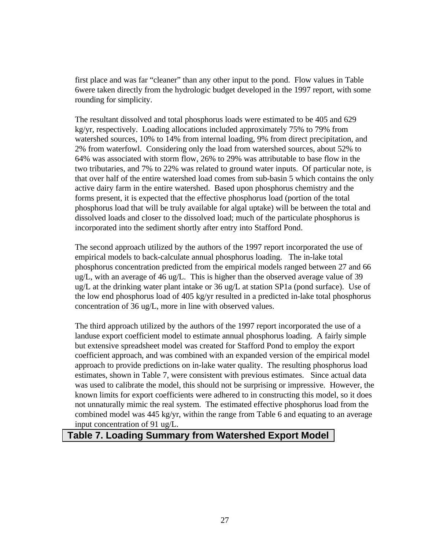first place and was far "cleaner" than any other input to the pond. Flow values in Table 6were taken directly from the hydrologic budget developed in the 1997 report, with some rounding for simplicity.

The resultant dissolved and total phosphorus loads were estimated to be 405 and 629 kg/yr, respectively. Loading allocations included approximately 75% to 79% from watershed sources, 10% to 14% from internal loading, 9% from direct precipitation, and 2% from waterfowl. Considering only the load from watershed sources, about 52% to 64% was associated with storm flow, 26% to 29% was attributable to base flow in the two tributaries, and 7% to 22% was related to ground water inputs. Of particular note, is that over half of the entire watershed load comes from sub-basin 5 which contains the only active dairy farm in the entire watershed. Based upon phosphorus chemistry and the forms present, it is expected that the effective phosphorus load (portion of the total phosphorus load that will be truly available for algal uptake) will be between the total and dissolved loads and closer to the dissolved load; much of the particulate phosphorus is incorporated into the sediment shortly after entry into Stafford Pond.

The second approach utilized by the authors of the 1997 report incorporated the use of empirical models to back-calculate annual phosphorus loading. The in-lake total phosphorus concentration predicted from the empirical models ranged between 27 and 66 ug/L, with an average of 46 ug/L. This is higher than the observed average value of 39 ug/L at the drinking water plant intake or 36 ug/L at station SP1a (pond surface). Use of the low end phosphorus load of 405 kg/yr resulted in a predicted in-lake total phosphorus concentration of 36 ug/L, more in line with observed values.

The third approach utilized by the authors of the 1997 report incorporated the use of a landuse export coefficient model to estimate annual phosphorus loading. A fairly simple but extensive spreadsheet model was created for Stafford Pond to employ the export coefficient approach, and was combined with an expanded version of the empirical model approach to provide predictions on in-lake water quality. The resulting phosphorus load estimates, shown in Table 7, were consistent with previous estimates. Since actual data was used to calibrate the model, this should not be surprising or impressive. However, the known limits for export coefficients were adhered to in constructing this model, so it does not unnaturally mimic the real system. The estimated effective phosphorus load from the combined model was 445 kg/yr, within the range from Table 6 and equating to an average input concentration of 91 ug/L.

# **Table 7. Loading Summary from Watershed Export Model**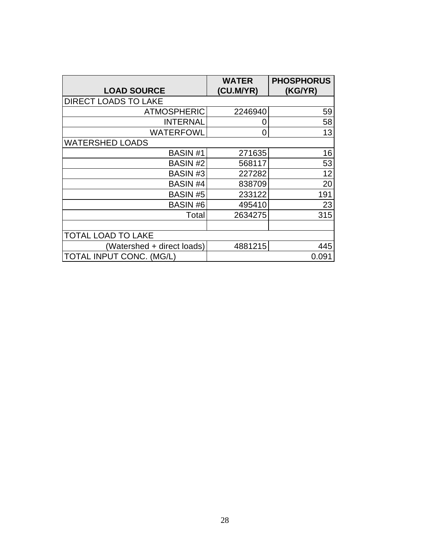|                             | <b>WATER</b> | <b>PHOSPHORUS</b> |
|-----------------------------|--------------|-------------------|
| <b>LOAD SOURCE</b>          | (CU.M/YR)    | (KG/YR)           |
| <b>DIRECT LOADS TO LAKE</b> |              |                   |
| <b>ATMOSPHERIC</b>          | 2246940      | 59                |
| <b>INTERNAL</b>             | 0            | 58                |
| WATERFOWL                   | O            | 13                |
| <b>WATERSHED LOADS</b>      |              |                   |
| <b>BASIN#1</b>              | 271635       | 16                |
| <b>BASIN#2</b>              | 568117       | 53                |
| BASIN#3                     | 227282       | 12                |
| <b>BASIN#4</b>              | 838709       | 20                |
| <b>BASIN#5</b>              | 233122       | 191               |
| <b>BASIN#6</b>              | 495410       | 23                |
| Total                       | 2634275      | 315               |
|                             |              |                   |
| <b>TOTAL LOAD TO LAKE</b>   |              |                   |
| (Watershed + direct loads)  | 4881215      | 445               |
| TOTAL INPUT CONC. (MG/L)    |              | 0.091             |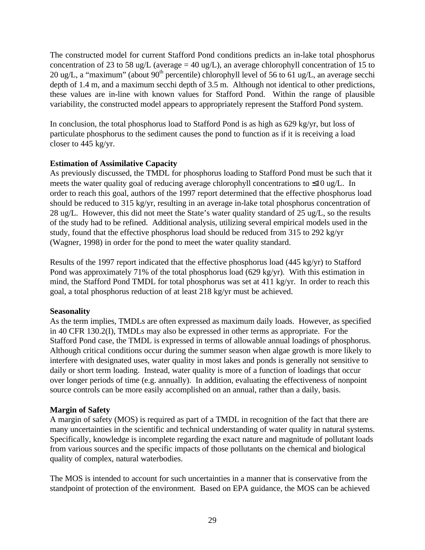The constructed model for current Stafford Pond conditions predicts an in-lake total phosphorus concentration of 23 to 58 ug/L (average = 40 ug/L), an average chlorophyll concentration of 15 to 20 ug/L, a "maximum" (about  $90<sup>th</sup>$  percentile) chlorophyll level of 56 to 61 ug/L, an average secchi depth of 1.4 m, and a maximum secchi depth of 3.5 m. Although not identical to other predictions, these values are in-line with known values for Stafford Pond. Within the range of plausible variability, the constructed model appears to appropriately represent the Stafford Pond system.

In conclusion, the total phosphorus load to Stafford Pond is as high as 629 kg/yr, but loss of particulate phosphorus to the sediment causes the pond to function as if it is receiving a load closer to 445 kg/yr.

# **Estimation of Assimilative Capacity**

As previously discussed, the TMDL for phosphorus loading to Stafford Pond must be such that it meets the water quality goal of reducing average chlorophyll concentrations to ≤10 ug/L. In order to reach this goal, authors of the 1997 report determined that the effective phosphorus load should be reduced to 315 kg/yr, resulting in an average in-lake total phosphorus concentration of 28 ug/L. However, this did not meet the State's water quality standard of 25 ug/L, so the results of the study had to be refined. Additional analysis, utilizing several empirical models used in the study, found that the effective phosphorus load should be reduced from 315 to 292 kg/yr (Wagner, 1998) in order for the pond to meet the water quality standard.

Results of the 1997 report indicated that the effective phosphorus load (445 kg/yr) to Stafford Pond was approximately 71% of the total phosphorus load (629 kg/yr). With this estimation in mind, the Stafford Pond TMDL for total phosphorus was set at 411 kg/yr. In order to reach this goal, a total phosphorus reduction of at least 218 kg/yr must be achieved.

# **Seasonality**

As the term implies, TMDLs are often expressed as maximum daily loads. However, as specified in 40 CFR 130.2(I), TMDLs may also be expressed in other terms as appropriate. For the Stafford Pond case, the TMDL is expressed in terms of allowable annual loadings of phosphorus. Although critical conditions occur during the summer season when algae growth is more likely to interfere with designated uses, water quality in most lakes and ponds is generally not sensitive to daily or short term loading. Instead, water quality is more of a function of loadings that occur over longer periods of time (e.g. annually). In addition, evaluating the effectiveness of nonpoint source controls can be more easily accomplished on an annual, rather than a daily, basis.

# **Margin of Safety**

A margin of safety (MOS) is required as part of a TMDL in recognition of the fact that there are many uncertainties in the scientific and technical understanding of water quality in natural systems. Specifically, knowledge is incomplete regarding the exact nature and magnitude of pollutant loads from various sources and the specific impacts of those pollutants on the chemical and biological quality of complex, natural waterbodies.

The MOS is intended to account for such uncertainties in a manner that is conservative from the standpoint of protection of the environment. Based on EPA guidance, the MOS can be achieved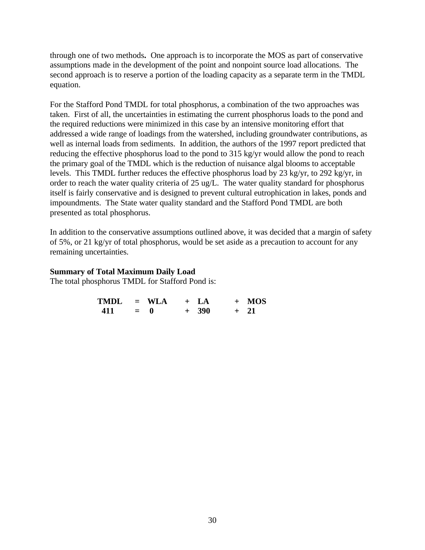through one of two methods**.** One approach is to incorporate the MOS as part of conservative assumptions made in the development of the point and nonpoint source load allocations. The second approach is to reserve a portion of the loading capacity as a separate term in the TMDL equation.

For the Stafford Pond TMDL for total phosphorus, a combination of the two approaches was taken. First of all, the uncertainties in estimating the current phosphorus loads to the pond and the required reductions were minimized in this case by an intensive monitoring effort that addressed a wide range of loadings from the watershed, including groundwater contributions, as well as internal loads from sediments. In addition, the authors of the 1997 report predicted that reducing the effective phosphorus load to the pond to 315 kg/yr would allow the pond to reach the primary goal of the TMDL which is the reduction of nuisance algal blooms to acceptable levels. This TMDL further reduces the effective phosphorus load by 23 kg/yr, to 292 kg/yr, in order to reach the water quality criteria of 25 ug/L. The water quality standard for phosphorus itself is fairly conservative and is designed to prevent cultural eutrophication in lakes, ponds and impoundments. The State water quality standard and the Stafford Pond TMDL are both presented as total phosphorus.

In addition to the conservative assumptions outlined above, it was decided that a margin of safety of 5%, or 21 kg/yr of total phosphorus, would be set aside as a precaution to account for any remaining uncertainties.

#### **Summary of Total Maximum Daily Load**

The total phosphorus TMDL for Stafford Pond is:

| $TMDL = WLA$ |       |  | $+ LA$  | $+$ MOS |
|--------------|-------|--|---------|---------|
| 411          | $= 0$ |  | $+ 390$ | $+$ 21  |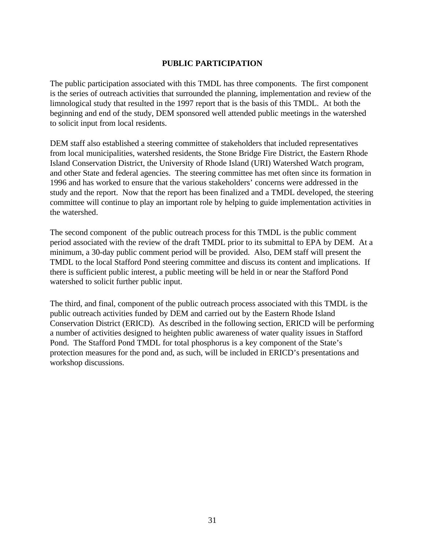# **PUBLIC PARTICIPATION**

The public participation associated with this TMDL has three components. The first component is the series of outreach activities that surrounded the planning, implementation and review of the limnological study that resulted in the 1997 report that is the basis of this TMDL. At both the beginning and end of the study, DEM sponsored well attended public meetings in the watershed to solicit input from local residents.

DEM staff also established a steering committee of stakeholders that included representatives from local municipalities, watershed residents, the Stone Bridge Fire District, the Eastern Rhode Island Conservation District, the University of Rhode Island (URI) Watershed Watch program, and other State and federal agencies. The steering committee has met often since its formation in 1996 and has worked to ensure that the various stakeholders' concerns were addressed in the study and the report. Now that the report has been finalized and a TMDL developed, the steering committee will continue to play an important role by helping to guide implementation activities in the watershed.

The second component of the public outreach process for this TMDL is the public comment period associated with the review of the draft TMDL prior to its submittal to EPA by DEM. At a minimum, a 30-day public comment period will be provided. Also, DEM staff will present the TMDL to the local Stafford Pond steering committee and discuss its content and implications. If there is sufficient public interest, a public meeting will be held in or near the Stafford Pond watershed to solicit further public input.

The third, and final, component of the public outreach process associated with this TMDL is the public outreach activities funded by DEM and carried out by the Eastern Rhode Island Conservation District (ERICD). As described in the following section, ERICD will be performing a number of activities designed to heighten public awareness of water quality issues in Stafford Pond. The Stafford Pond TMDL for total phosphorus is a key component of the State's protection measures for the pond and, as such, will be included in ERICD's presentations and workshop discussions.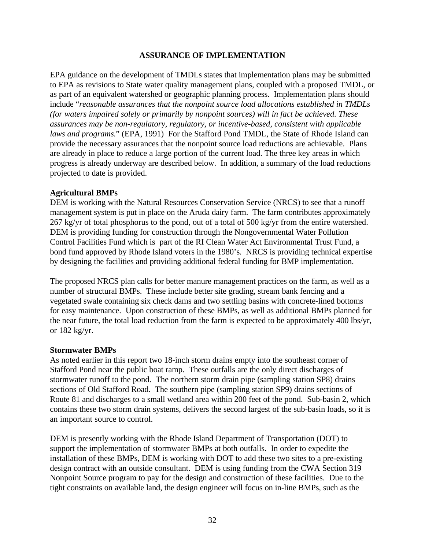## **ASSURANCE OF IMPLEMENTATION**

EPA guidance on the development of TMDLs states that implementation plans may be submitted to EPA as revisions to State water quality management plans, coupled with a proposed TMDL, or as part of an equivalent watershed or geographic planning process. Implementation plans should include "*reasonable assurances that the nonpoint source load allocations established in TMDLs (for waters impaired solely or primarily by nonpoint sources) will in fact be achieved. These assurances may be non-regulatory, regulatory, or incentive-based, consistent with applicable laws and programs.*" (EPA, 1991) For the Stafford Pond TMDL, the State of Rhode Island can provide the necessary assurances that the nonpoint source load reductions are achievable. Plans are already in place to reduce a large portion of the current load. The three key areas in which progress is already underway are described below. In addition, a summary of the load reductions projected to date is provided.

#### **Agricultural BMPs**

DEM is working with the Natural Resources Conservation Service (NRCS) to see that a runoff management system is put in place on the Aruda dairy farm. The farm contributes approximately 267 kg/yr of total phosphorus to the pond, out of a total of 500 kg/yr from the entire watershed. DEM is providing funding for construction through the Nongovernmental Water Pollution Control Facilities Fund which is part of the RI Clean Water Act Environmental Trust Fund, a bond fund approved by Rhode Island voters in the 1980's. NRCS is providing technical expertise by designing the facilities and providing additional federal funding for BMP implementation.

The proposed NRCS plan calls for better manure management practices on the farm, as well as a number of structural BMPs. These include better site grading, stream bank fencing and a vegetated swale containing six check dams and two settling basins with concrete-lined bottoms for easy maintenance. Upon construction of these BMPs, as well as additional BMPs planned for the near future, the total load reduction from the farm is expected to be approximately 400 lbs/yr, or 182 kg/yr.

#### **Stormwater BMPs**

As noted earlier in this report two 18-inch storm drains empty into the southeast corner of Stafford Pond near the public boat ramp. These outfalls are the only direct discharges of stormwater runoff to the pond. The northern storm drain pipe (sampling station SP8) drains sections of Old Stafford Road. The southern pipe (sampling station SP9) drains sections of Route 81 and discharges to a small wetland area within 200 feet of the pond. Sub-basin 2, which contains these two storm drain systems, delivers the second largest of the sub-basin loads, so it is an important source to control.

DEM is presently working with the Rhode Island Department of Transportation (DOT) to support the implementation of stormwater BMPs at both outfalls. In order to expedite the installation of these BMPs, DEM is working with DOT to add these two sites to a pre-existing design contract with an outside consultant. DEM is using funding from the CWA Section 319 Nonpoint Source program to pay for the design and construction of these facilities. Due to the tight constraints on available land, the design engineer will focus on in-line BMPs, such as the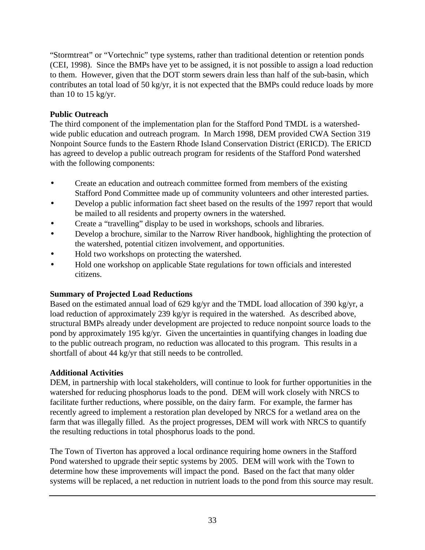"Stormtreat" or "Vortechnic" type systems, rather than traditional detention or retention ponds (CEI, 1998). Since the BMPs have yet to be assigned, it is not possible to assign a load reduction to them. However, given that the DOT storm sewers drain less than half of the sub-basin, which contributes an total load of 50 kg/yr, it is not expected that the BMPs could reduce loads by more than 10 to 15 kg/yr.

# **Public Outreach**

The third component of the implementation plan for the Stafford Pond TMDL is a watershedwide public education and outreach program. In March 1998, DEM provided CWA Section 319 Nonpoint Source funds to the Eastern Rhode Island Conservation District (ERICD). The ERICD has agreed to develop a public outreach program for residents of the Stafford Pond watershed with the following components:

- Create an education and outreach committee formed from members of the existing Stafford Pond Committee made up of community volunteers and other interested parties.
- Develop a public information fact sheet based on the results of the 1997 report that would be mailed to all residents and property owners in the watershed.
- Create a "travelling" display to be used in workshops, schools and libraries.
- Develop a brochure, similar to the Narrow River handbook, highlighting the protection of the watershed, potential citizen involvement, and opportunities.
- Hold two workshops on protecting the watershed.
- Hold one workshop on applicable State regulations for town officials and interested citizens.

# **Summary of Projected Load Reductions**

Based on the estimated annual load of 629 kg/yr and the TMDL load allocation of 390 kg/yr, a load reduction of approximately 239 kg/yr is required in the watershed. As described above, structural BMPs already under development are projected to reduce nonpoint source loads to the pond by approximately 195 kg/yr. Given the uncertainties in quantifying changes in loading due to the public outreach program, no reduction was allocated to this program. This results in a shortfall of about 44 kg/yr that still needs to be controlled.

# **Additional Activities**

DEM, in partnership with local stakeholders, will continue to look for further opportunities in the watershed for reducing phosphorus loads to the pond. DEM will work closely with NRCS to facilitate further reductions, where possible, on the dairy farm. For example, the farmer has recently agreed to implement a restoration plan developed by NRCS for a wetland area on the farm that was illegally filled. As the project progresses, DEM will work with NRCS to quantify the resulting reductions in total phosphorus loads to the pond.

The Town of Tiverton has approved a local ordinance requiring home owners in the Stafford Pond watershed to upgrade their septic systems by 2005. DEM will work with the Town to determine how these improvements will impact the pond. Based on the fact that many older systems will be replaced, a net reduction in nutrient loads to the pond from this source may result.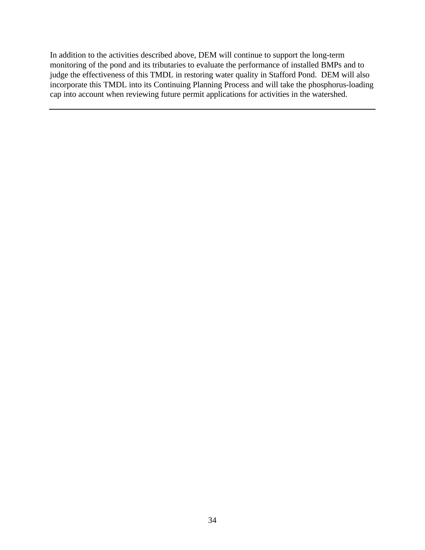In addition to the activities described above, DEM will continue to support the long-term monitoring of the pond and its tributaries to evaluate the performance of installed BMPs and to judge the effectiveness of this TMDL in restoring water quality in Stafford Pond. DEM will also incorporate this TMDL into its Continuing Planning Process and will take the phosphorus-loading cap into account when reviewing future permit applications for activities in the watershed.